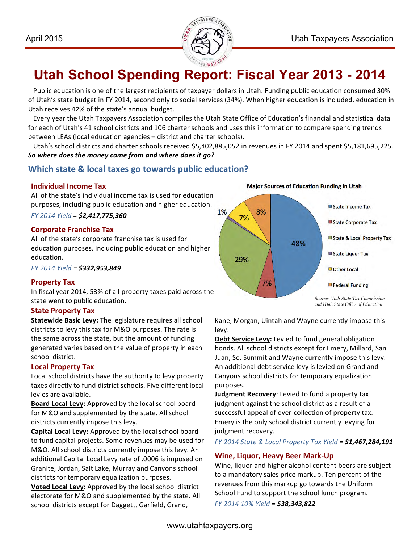

# **Utah School Spending Report: Fiscal Year 2013 - 2014**

Public education is one of the largest recipients of taxpayer dollars in Utah. Funding public education consumed 30% of Utah's state budget in FY 2014, second only to social services (34%). When higher education is included, education in Utah receives 42% of the state's annual budget.

Every year the Utah Taxpayers Association compiles the Utah State Office of Education's financial and statistical data for each of Utah's 41 school districts and 106 charter schools and uses this information to compare spending trends between LEAs (local education agencies – district and charter schools).

Utah's school districts and charter schools received \$5,402,885,052 in revenues in FY 2014 and spent \$5,181,695,225. So where does the money come from and where does it go?

## **Which state & local taxes go towards public education?**

## **Individual Income Tax**

All of the state's individual income tax is used for education purposes, including public education and higher education.

*FY 2014 Yield = \$2,417,775,360* 

## **Corporate Franchise Tax**

All of the state's corporate franchise tax is used for education purposes, including public education and higher education. 

*FY 2014 Yield = \$332,953,849*

## **Property Tax**

In fiscal year 2014, 53% of all property taxes paid across the state went to public education.

## **State Property Tax**

**Statewide Basic Levy:** The legislature requires all school districts to levy this tax for M&O purposes. The rate is the same across the state, but the amount of funding generated varies based on the value of property in each school district.

## **Local Property Tax**

Local school districts have the authority to levy property taxes directly to fund district schools. Five different local levies are available.

**Board Local Levy:** Approved by the local school board for M&O and supplemented by the state. All school districts currently impose this levy.

**Capital Local Levy:** Approved by the local school board to fund capital projects. Some revenues may be used for M&O. All school districts currently impose this levy. An additional Capital Local Levy rate of .0006 is imposed on Granite, Jordan, Salt Lake, Murray and Canyons school districts for temporary equalization purposes.

**Voted Local Levy:** Approved by the local school district electorate for M&O and supplemented by the state. All school districts except for Daggett, Garfield, Grand,

**Major Sources of Education Funding in Utah** State Income Tax 1% 8% 7% State Corporate Tax State & Local Property Tax 48% State Liquor Tax 29% Other Local 7% Federal Funding *Source: Utah State Tax Commission and Utah State Office of Education*

Kane, Morgan, Uintah and Wayne currently impose this levy.

**Debt Service Levy:** Levied to fund general obligation bonds. All school districts except for Emery, Millard, San Juan, So. Summit and Wayne currently impose this levy. An additional debt service levy is levied on Grand and Canyons school districts for temporary equalization purposes. 

**Judgment Recovery**: Levied to fund a property tax judgment against the school district as a result of a successful appeal of over-collection of property tax. Emery is the only school district currently levying for judgment recovery.

*FY 2014 State & Local Property Tax Yield = \$1,467,284,191*

## **Wine, Liquor, Heavy Beer Mark-Up**

Wine, liquor and higher alcohol content beers are subject to a mandatory sales price markup. Ten percent of the revenues from this markup go towards the Uniform School Fund to support the school lunch program.

*FY 2014 10% Yield = \$38,343,822*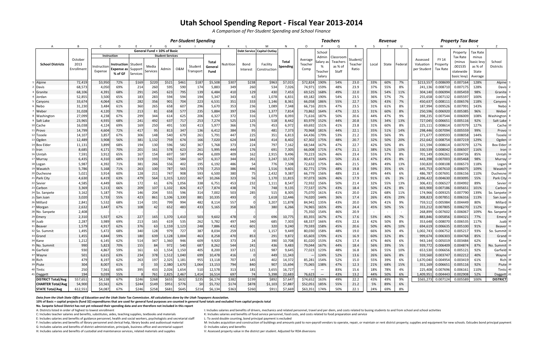|                           |                              |                                       | <b>Per-Student Spending</b>                            |          |                   |                                  |              |                      |                          | <b>Teachers</b><br><b>Revenue</b> |                  |                               |                   |                            | <b>Property Tax Base</b>                |                                           |                             |               |               |                                |                                      |                               |                                                           |                                                    |                            |
|---------------------------|------------------------------|---------------------------------------|--------------------------------------------------------|----------|-------------------|----------------------------------|--------------|----------------------|--------------------------|-----------------------------------|------------------|-------------------------------|-------------------|----------------------------|-----------------------------------------|-------------------------------------------|-----------------------------|---------------|---------------|--------------------------------|--------------------------------------|-------------------------------|-----------------------------------------------------------|----------------------------------------------------|----------------------------|
| A                         |                              |                                       | D                                                      |          |                   |                                  |              |                      |                          |                                   |                  | M                             | N                 | $\circ$                    |                                         |                                           |                             | -S            |               |                                | V                                    |                               |                                                           |                                                    |                            |
|                           |                              |                                       |                                                        |          |                   | General Fund + 10% of Basic      |              |                      |                          |                                   |                  | Debt Service   Capital Outlay |                   |                            | School                                  |                                           |                             |               |               |                                |                                      |                               | Property                                                  | <b>Tax Rate</b>                                    |                            |
| <b>School Districts</b>   | October<br>2013<br>Enrollmen | Instruction<br>Instruction<br>Expense | Instruction   Student<br>Expense as Support<br>% of GF | Services | Media<br>Services | <b>Student Services</b><br>Admin | 0&M          | Student<br>Transport | Total<br>General<br>Fund | Nutrition                         | Bond<br>Interest | Facility<br>Constructior      | Total<br>Spending | Average<br>Teacher<br>Comp | Admin<br>Salary as<br>Teacher<br>Salary | Classroom<br>Teachers<br>as % of<br>Staff | Student<br>Teacher<br>Ratio | Local         | State         | Federal                        | Assessed<br>Valuation<br>per Student | FY 14<br>Property<br>Tax Rate | Tax Rate<br>(minus<br>.001535<br>statewide<br>basic levy) | minus<br>basic levy<br>as % of<br>State<br>Average | School<br><b>Districts</b> |
| Alpine                    | 72,41                        | \$3,950                               | 72%                                                    | \$169    | \$220             | \$521                            | \$461        | \$187                | \$5,508                  | \$307                             | \$238            | \$963                         | \$7,015           | \$72,824                   | 190%                                    | 54%                                       | 23.0                        | 33%           | 60%           | 7%                             | \$213,557                            | 0.008699                      | 0.007164                                                  | 128%                                               | Alpine                     |
| Davis                     | 68,57                        | 4,050                                 | 69%                                                    | 214      | 260               | 595                              | 590          | 174                  | 5,883                    | 349                               | 260              | 534                           | 7,026             | 74,971                     | 159%                                    | 48%                                       | 23.9                        | 37%           | 55%           | 8%                             | 241,136                              | 0.008710                      | 0.007175                                                  | 128%                                               | Davis                      |
| Granite                   | 68,10                        | 4,391                                 | 68%                                                    | 291      | 245               | 623                              | 795          | 139                  | 6,484                    | 410                               | 129              | 430                           | 7,453             | 69,525                     | 168%                                    | 49%                                       | 22.0                        | 35%           | 54%           | 11%                            | 304,140                              | 0.006994                      | 0.005459                                                  | 98%                                                | Granite                    |
| Jordan                    | 52,85                        | 3,500                                 | 65%                                                    | 183      | 283               | 594                              | 594          | 194                  | 5,347                    | 343                               | 63               | 1,078                         | 6,831             | 69,182                     | 190%                                    | 54%                                       | 23.5                        | 36%           | 57%           | 7%                             | 255,658                              | 0.007132                      | 0.005597                                                  | 100%                                               | Jordan                     |
| Canyons                   | 33,674                       | 4,064                                 | 62%                                                    | 282      | 356               | 901                              | 704          | 223                  | 6,531                    | 351                               | 333              | 1,146                         | 8,361             | 66,058                     | 186%                                    | 55%                                       | 22.7                        | 50%           | 43%           | 7%                             | 450,637                              | 0.008111                      | 0.006576                                                  | 118%                                               | Canyons                    |
| Nebo                      | 31,23                        | 3,484                                 | 61%                                                    | 360      | 265               | 658                              | 607          | 296                  | 5,670                    | 353                               | 236              | 1,089                         | 7,348             | 66,716                     | 201%                                    | 47%                                       | 23.5                        | 31%           | 61%           | 8%                             | 187,994                              | 0.009526                      | 0.007991                                                  | 143%                                               | Nebo                       |
| Weber                     | 31,02                        | 4,120                                 | 70%                                                    | 213      | 81                | 658                              | 577          | 235                  | 5,884                    | 397                               | 156              | 1,377                         | 7,814             | 73,862                     | 164%                                    | 47%                                       | 22.5                        | 31%           | 60%           | 8%                             | 250,596                              | 0.006920                      | 0.005385                                                  | 96%                                                | Weber                      |
| 8 Washington              | 27,09                        | 4,238                                 | 67%                                                    | 299      | 344               | 614                              | 625          | 206                  | 6,327                    | 372                               | 316              | 1,079                         | 8,093             | 71,616                     | 187%                                    | 50%                                       | 20.6                        | 44%           | 47%           | 9%                             | 398,235                              | 0.007544                      | 0.006009                                                  | 108%                                               | Washington                 |
| 9 Salt Lake               | 23,96                        | 4,935                                 | 68%                                                    | 241      | 492               | 637                              | 717          | 253                  | 7,274                    | 525                               | 125              | 518                           | 8,442             | 83,979                     | 152%                                    | 44%                                       | 20.8                        | 53%           | 34%           | 13%                            | 727,045                              | 0.006651                      | 0.005116                                                  | 92%                                                | Salt Lake                  |
| 10 Cache                  | 16,03                        | 4,124                                 | 69%                                                    | 169      | 250               | 491                              | 530          | 413                  | 5,977                    | 366                               | 176              | 453                           | 6,972             | 69,692                     | 151%                                    | 41%                                       | 23.8                        | 31%           | 60%           | 8%                             | 225,111                              | 0.008614                      | 0.007079                                                  | 127%                                               | Cache                      |
| 11 Provo                  | 14,799                       | 4,604                                 | 72%                                                    | 417      | 95                | 813                              | 347          | 136                  | 6,412                    | 384                               | 95               | 481                           | 7,373             | 70,968                     | 181%                                    | 44%                                       | 22.1                        | 35%           | 51%           | 14%                            | 298,446                              | 0.007094                      | 0.005559                                                  | 99%                                                | Provo                      |
| 12 Tooele                 | 14,10                        | 3,857                                 | 67%                                                    | 306      | 148               | 540                              | 679          | 261                  | 5,791                    | 447                               | 225              | 351                           | 6,813             | 64,436                     | 179%                                    | 53%                                       | 21.2                        | 35%           | 56%           | 9%                             | 271,677                              | 0.009593                      | 0.008058                                                  | 144%                                               | Tooelel                    |
| 13 Ogden                  | 12,48                        | 3,908                                 | 56%                                                    | 381      | 1,132             | 759                              | 674          | 166                  | 7,020                    | 624                               | 344              | 414                           | 8,402             | 67,302                     | 175%                                    | 48%                                       | 20.7                        | 32%           | 50%           | 20%                            | 252,642                              | 0.008754                      | 0.007219                                                  | 129%                                               | Ogden                      |
| 14 Box Elder              | 11,13                        | 3,899                                 | 68%                                                    | 194      | 130               | 596                              | 582          | 367                  | 5,768                    | 373                               | 224              | 797                           | 7,162             | 68,544                     | 167%                                    | 47%                                       | 22.7                        | 42%           | 50%           | 8%                             | 321,594                              | 0.008614                      | 0.007079                                                  | 127%                                               | <b>Box Elder</b>           |
| 15 Iron                   | 8,68                         | 4,171                                 | 70%                                                    | 201      | 161               | 578                              | 623          | 261                  | 5,995                    | 444                               | 176              | 691                           | 7,305             | 66,008                     | 171%                                    | 47%                                       | 21.1                        | 38%           | 52%           | 10%                            | 330,539                              | 0.008042                      | 0.006507                                                  | 116%                                               | Iron                       |
| 16 Uintah                 | 7,59                         | 3,912                                 | 65%                                                    | 167      | 154               | 697                              | 587          | 494                  | 6,009                    | 409                               | 162              | 2,915                         | 9,496             | 70,223                     | 162%                                    | 46%                                       | 23.4                        | 55%           | 37%           | 8%                             | 701,149                              | 0.006261                      | 0.004726                                                  | 85%                                                | Uintah                     |
| 17 Murray                 | 6,43                         | 4,310                                 | 68%                                                    | 319      | 193               | 745                              | 584          | 167                  | 6,317                    | 344                               | 261              | 3,247                         | 10,170            | 80,473                     | 164%                                    | 50%                                       | 21.6                        | 47%           | 45%           | 8%                             | 443,398                              | 0.007003                      | 0.005468                                                  | 98%                                                | Murray                     |
| 18 Logan                  | 5,98                         | 4,392                                 | 71%                                                    | 381      | 266               | 556                              | 402          | 195                  | 6,192                    | 486                               | 54               | 776                           | 7,508             | 72,632                     | 175%                                    | 46%                                       | 21.5                        | 38%           | 49%           | 13%                            | 330,820                              | 0.008108                      | 0.006573                                                  | 118%                                               | Logan                      |
| 19 Wasatch                | 5,786                        | 5,168                                 | 71%                                                    | 263      | 100               | 787                              | 565          | 370                  | 7,253                    | 386                               | 446              | 1,516                         | 9,601             | 82,771                     | 173%                                    | 48%                                       | 19.8                        | 59%           | 35%           | 6%                             | 645,753                              | 0.007610                      | 0.006075                                                  | 109%                                               | Wasatch                    |
| 20 Duchesne               | 5,021                        | 3,914                                 | 60%                                                    | 128      | 211               | 747                              | 908          | 593                  | 6,500                    | 380                               | 75               | 2,432                         | 9,387             | 66,779                     | 156%                                    | 48%                                       | 21.6                        | 49%           | 44%           | 6%                             | 486,787                              | 0.007691                      | 0.006156                                                  | 110%                                               | Duchesne                   |
| 21 Park City              | 4,630                        | 6,419                                 | 63%                                                    | 479      | 564               | 1,315                            | 1,022        | 467                  | 10,266                   | 323                               | 56               | 1,170                         | 11,815            | 97,073                     | 163%                                    | 46%                                       | 17.9                        | 91%           | 6%            | 3%                             | 2,396,422                            | 0.004630                      | 0.003095                                                  | 55%                                                | Park City                  |
| 22 Sevier                 | 4,58                         | 4,449                                 | 66%                                                    | 172      | 61                | 676                              | 1,056        | 338                  | 6,751                    | 453                               | 232              | 1,111                         | 8,547             | 72,932                     | 156%                                    | 50%                                       | 21.4                        | 32%           | 55%           | 13%                            | 306,431                              | 0.006527                      | 0.004992                                                  | 89%                                                | Sevier                     |
| 23 Carbon                 | 3,36                         | 5,213                                 | 66%                                                    | 209      | 107               | 1,102                            | 826          | 417                  | 7,874                    | 438                               | 74               | 748                           | 9,135             | 77,537                     | 157%                                    | 43%                                       | 18.4                        | 50%           | 42%           | 8%                             | 603,900                              | 0.007186                      | 0.005651                                                  | 101%                                               | Carbon                     |
| 24 So. Sanpete            | 3,16                         | 5,187                                 | 74%                                                    | 146      | 204               | 555                              | 596          | 314                  | 7,002                    | 503                               | 285              | 515                           | 8,305             | 75,070                     | 161%                                    | 41%                                       | 20.0                        | 22%           | 68%           | 11%                            | 174,966                              | 0.009325                      | 0.007790                                                  | 139%                                               | So. Sanpete                |
| 25 San Juan               | 3,02                         | 5,733                                 | 55%                                                    | 423      | 861               | 1,106                            | 1,330        | 881                  | 10,335                   | 493                               |                  | 1,618                         | 12,446            | 74,020                     | 144%                                    | 36%                                       | 17.4                        | 26%           | 45%           | 29%                            | 308,823                              | 0.007851                      | 0.006316                                                  | 113%                                               | San Juan                   |
| 26 Millard                | 2,84                         | 5,532                                 | 68%                                                    | 114      | 191               | 799                              | 994          | 482                  | 8,114                    | 557                               |                  | 3,207                         | 11,878            | 84,941                     | 135%                                    | 43%                                       | 20.0                        | 50%           | 41%           | 9%                             | 759,512                              | 0.005984                      | 0.004449                                                  | 80%                                                | Millard                    |
| 27 Morgan                 | 2,63.                        | 3,447                                 | 67%                                                    | 108      | 42                | 652                              | 483          | 433                  | 5,165                    | 358                               | 363              | 380                           | 6,266             | 74,965                     | 165%                                    | 49%                                       | 24.4                        | 45%           | 50%           | 5%                             | 333,212<br>268,899                   | 0.007805<br>0.007602          | 0.006270<br>0.006067                                      | 112%<br>109%                                       | Morgan                     |
| 28 No. Sanpete            | 2,40<br>2,31                 | 5,927                                 | 62%                                                    | 227      |                   | 1,370                            |              | 503                  | 9,602                    | 478                               |                  | 696                           | 10,775            | 75,350<br>83,355           | 154%<br>167%                            | 46%<br>47%                                | 20.9<br>17.6                | $\sim$<br>53% | $\sim$<br>40% | $\overline{\phantom{a}}$<br>7% |                                      | 0.005856                      | 0.004321                                                  | 77%                                                | No. Sanpete 2              |
| 29 Emery<br>30 Juab       | 2,28                         | 3,989                                 | 69%                                                    | 213      | 165<br>165        | 619                              | 1,410<br>535 | 262                  | 5,782                    | 497                               | 340              | 685                           | 7,303             | 68,337                     | 166%                                    | 45%                                       | 22.6                        | 42%           | 50%           | 8%                             | 883,846<br>353,648                   | 0.008070                      | 0.006535                                                  | 117%                                               | Emery<br>Juab              |
| 31 Beaver                 | 1,579                        | 4,917                                 | 62%                                                    | 376      | 63                | 1,159                            | 1,123        | 248                  | 7,886                    | 432                               | 601              | 320                           | 9,240             | 79,593                     | 158%                                    | 45%                                       | 20.6                        | 50%           | 40%           | 10%                            | 694,619                              | 0.006635                      | 0.005100                                                  | 91%                                                | Beaver                     |
| 32 So. Summi              | 1,495                        | 5,472                                 | 68%                                                    | 340      | 128               | 979                              | 727          | 387                  | 8,034                    | 259                               |                  | 1,157                         | 9,449             | 80,030                     | 158%                                    | 48%                                       | 19.0                        | 66%           | 30%           | 4%                             | 1,002,743                            | 0.006752                      | 0.005217                                                  | 93%                                                | So. Summit 32              |
| 33 Grand                  | 1.455                        | 4.844                                 | 59%                                                    | 180      | 639               | 1,128                            | 1.004        | 463                  | 8.258                    | 470                               | 853              | 291                           | 9.872             | 65,603                     | 170%                                    | 41%                                       | 16.9                        | 60%           | 32%           | 8%                             | 999,674                              | 0.006303                      | 0.004768                                                  | 85%                                                | Grand                      |
| 34 Kane                   | 1,212                        | 6,145                                 | 62%                                                    | 514      | 347               | 1,360                            | 946          | 609                  | $\sim$<br>9,920          | 373                               | 24               | 390                           | 10,708            | 81,020                     | 153%                                    | 42%                                       | 17.4                        | 47%           | 46%           | 6%                             |                                      | 943,144 0.005019              | 0.003484                                                  | 62%                                                | Kane <sup>34</sup>         |
| 35 No. Summit             | 990                          | 5,823                                 | 70%                                                    | 155      |                   | 972                              | 540          | 687                  | 8,262                    | 544                               | 241              | 436                           | 9,483             | 79,044                     | 167%                                    | 44%                                       | 18.4                        | 56%           | 39%           | 5%                             |                                      | 939,772 0.006409              | 0.004874                                                  | 87%                                                | No. Summit 35              |
| 36 Garfield               | 930                          | 4,867                                 | 59%                                                    | 161      | 63                | 1,554                            | 1,150        | 405                  | 8,200                    | 337                               | 121              | 987                           | 9,645             | 77,023                     | 123%                                    | 48%                                       | 16.8                        | 36%           | 55%           | 10%                            |                                      | 653,530 0.006656              | 0.005121                                                  | 92%                                                | Garfield                   |
| 37 Wayne                  | 501                          | 6,615                                 | 63%                                                    | 234      | 378               | 1,512                            | 1,040        | 699                  | 10,478                   | 416                               |                  | 449                           | 11,343            |                            | 124%                                    | 52%                                       | 13.6                        | 26%           | 66%           | 8%                             |                                      | 559,560 0.003747              | 0.002212                                                  | 40%                                                | Wayne                      |
| 38 Rich                   | 479                          | 8,197                                 | 62%                                                    | 263      | 197               | 2,325                            | 1,181        | 955                  | 13,118                   | 707                               | 145              | 402                           | 14,372            | 85,281                     | 154%                                    | 52%                                       | 15.0                        | 55%           | 39%           | 6%                             |                                      | 1,670,040 0.004954            | 0.003419                                                  | 61%                                                | Rich                       |
| 39 Piute                  | 304                          | 8,007                                 | 61%                                                    |          | 33                | 2,380                            | 1,670        | 1,064                | 13,153                   | 794                               | 840              | 907                           | 15,694            | 75,065                     | 138%                                    | 47%                                       | 12.3                        | 21%           | 68%           | 15%                            |                                      | 351,169 0.006651              | 0.005116                                                  | 92%                                                | Piute                      |
| 40 Tintic                 | 250                          | 7,561                                 | 60%                                                    | 395      | 433               | 2,026                            | 1,654        | 510                  | 12,578                   | 313                               | 181              | 3,655                         | 16,727            |                            | $\hspace{0.1mm}-\hspace{0.1mm}$         | 83%                                       | 15.6                        | 18%           | 78%           | 4%                             |                                      | 225,408 0.007696              | 0.006161                                                  | 110%                                               | Tintic                     |
| 41 Daggett                | 194                          | 9,039                                 | 55%                                                    |          | 761               | 2,825                            | 2,467        | 1,414                | 16,514                   | 697                               | - 74             | 5,398                         | 22,683            | 76,623                     | $\hspace{0.1mm}$                        | 43%                                       | 13.2                        | 44%           | 50%           | 6%                             |                                      | 1,409,951 0.004443            | 0.002908                                                  | 52%                                                | Daggett                    |
| <b>DISTRICT Total/Avg</b> | 557,651                      | \$4,138                               | 67%                                                    | \$246    | \$268             | \$655                            | \$632        | \$235                | \$6,174                  | \$382                             | \$199            | \$892                         | \$7,647           | \$74,652                   | 163%                                    | 49%                                       | 22.2                        | 43%           | 49%           | 9%                             |                                      | \$565,273 0.007124            | 0.005589                                                  | 100%                                               | <b>DISTRICT</b>            |
| <b>CHARTER Total/Avg</b>  | 54,900                       | \$3,561                               | 62%                                                    | \$244    | \$149             | \$951                            | \$776        | 50                   | \$5,732                  | \$174                             | \$878            | \$1,103                       | \$7,887           | \$52,051                   | 185%                                    | 55%                                       | 21.2                        | 5%            | 89%           | 6%                             |                                      |                               |                                                           |                                                    |                            |
| <b>STATE Total/Avg</b>    | 612,551                      | \$4,087                               | 67%                                                    | \$246    | \$258             | \$681                            | \$645        | \$214                | \$6,134                  | \$363                             | \$260            | \$911                         | \$7,669           |                            | \$63,351 174%                           | 50%                                       | 22.1                        | 24%           | 69%           | 8%                             |                                      |                               |                                                           |                                                    |                            |

Data from the Utah State Office of Education and the Utah State Tax Commission. All calculations done by the Utah Taxpayers Association.

10% of Basic = capital projects (fund 32) expenditures that are used for general fund purposes are counted in general fund totals and excluded from capital projects total

**No. Sanpete School District has not yet released their spending data and are therefore not included in this report** A: Districts listed in order of highest to lowest enrollment

E: Includes salaries and benefits of guidance personnel, health and social workers, psychologists and secretarial staff L: To avoid double counting, bond principal payment is excluded

G: Includes salaries and benefits of district administration, principals, business office and secretarial support D: Includes salary and benefits<br>H: Includes salaries and benefits of custodial and maintenance services, rel

H: Includes salaries and benefits of custodial and maintenance services, related materials and supplies

I: Includes salaries and benefits of drivers, mechanics and related personnel, travel and per diem, and costs related to busing students to and from school and school activities C: Includes teacher salaries and benefits, substitutes, aides, teaching supplies, textbooks and materials K: Includes salaries and benefits of food service personnel, food costs, and costs related to food preparation and s

F: Includes salaries and benefits of library personnel and clerical help, library books and audiovisual material M: Includes acquisition and construction of buildings and amounts paid to non-payroll vendors to operate, rep

## **Utah School Spending Report - Fiscal Year 2013-2014**

*A Comparison of Per-Student Spending and School Finance*